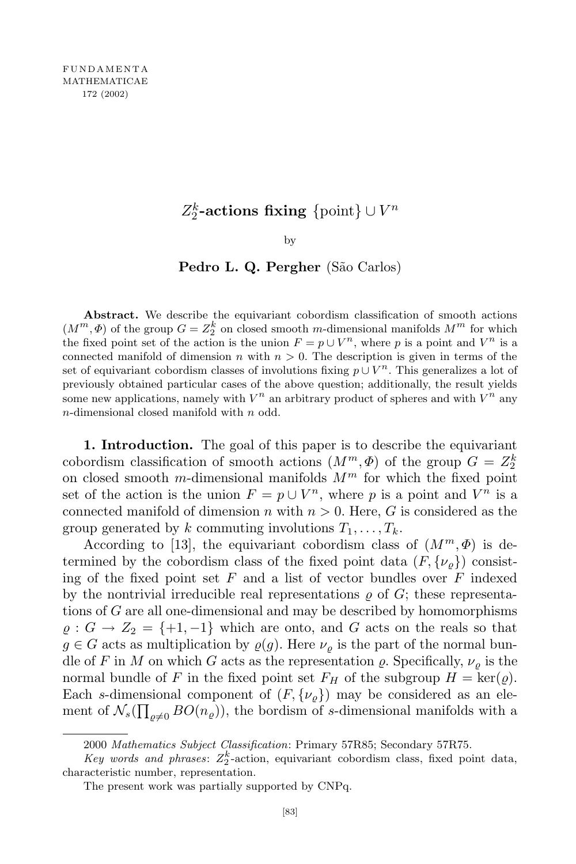## $Z_2^k$ -actions fixing  $\{\text{point}\}\cup V^n$

by

## **Pedro L. Q. Pergher** (São Carlos)

**Abstract.** We describe the equivariant cobordism classification of smooth actions  $(M^m, \Phi)$  of the group  $G = Z_2^k$  on closed smooth *m*-dimensional manifolds  $M^m$  for which the fixed point set of the action is the union  $F = p \cup V^n$ , where p is a point and  $V^n$  is a connected manifold of dimension *n* with  $n > 0$ . The description is given in terms of the set of equivariant cobordism classes of involutions fixing  $p \cup V^n$ . This generalizes a lot of previously obtained particular cases of the above question; additionally, the result yields some new applications, namely with  $V^n$  an arbitrary product of spheres and with  $V^n$  any *n*-dimensional closed manifold with *n* odd.

**1. Introduction.** The goal of this paper is to describe the equivariant cobordism classification of smooth actions  $(M^m, \Phi)$  of the group  $G = Z_2^k$ on closed smooth *m*-dimensional manifolds  $M^m$  for which the fixed point set of the action is the union  $F = p \cup V^n$ , where p is a point and  $V^n$  is a connected manifold of dimension *n* with  $n > 0$ . Here, *G* is considered as the group generated by *k* commuting involutions  $T_1, \ldots, T_k$ .

According to [13], the equivariant cobordism class of  $(M^m, \Phi)$  is determined by the cobordism class of the fixed point data  $(F, \{\nu_{\rho}\})$  consisting of the fixed point set *F* and a list of vector bundles over *F* indexed by the nontrivial irreducible real representations  $\rho$  of  $G$ ; these representations of *G* are all one-dimensional and may be described by homomorphisms  $\varrho: G \to Z_2 = \{+1, -1\}$  which are onto, and *G* acts on the reals so that  $g \in G$  acts as multiplication by  $\varrho(g)$ . Here  $\nu_{\rho}$  is the part of the normal bundle of *F* in *M* on which *G* acts as the representation  $\rho$ . Specifically,  $\nu_{\rho}$  is the normal bundle of *F* in the fixed point set  $F_H$  of the subgroup  $H = \text{ker}(\varrho)$ . Each *s*-dimensional component of  $(F, \{\nu_{\varrho}\})$  may be considered as an element of  $\mathcal{N}_s(\prod_{\varrho \neq 0} BO(n_{\varrho}))$ , the bordism of *s*-dimensional manifolds with a

<sup>2000</sup> *Mathematics Subject Classification*: Primary 57R85; Secondary 57R75.

*Key words* and *phrases*:  $Z_2^k$ -action, equivariant cobordism class, fixed point data, characteristic number, representation.

The present work was partially supported by CNPq.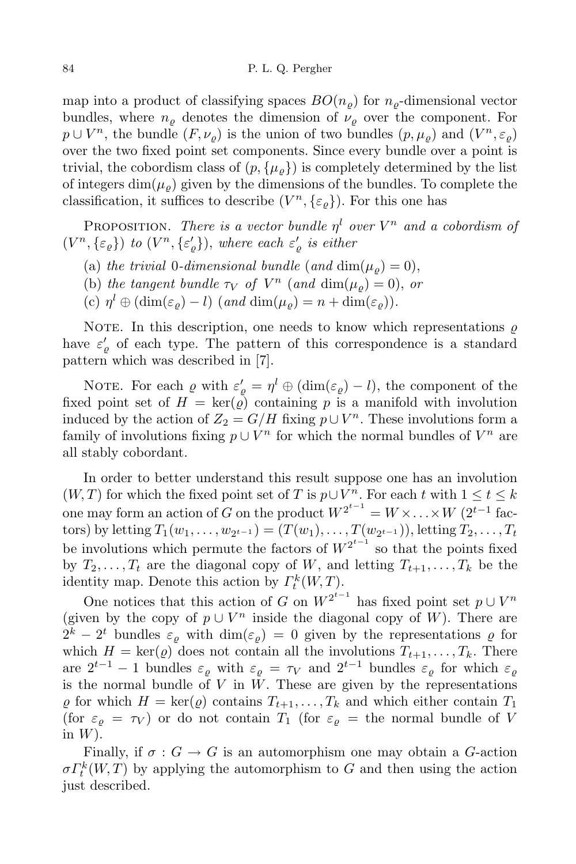map into a product of classifying spaces  $BO(n_o)$  for  $n_o$ -dimensional vector bundles, where  $n_{\rho}$  denotes the dimension of  $\nu_{\rho}$  over the component. For  $p \cup V^n$ , the bundle  $(F, \nu_{\varrho})$  is the union of two bundles  $(p, \mu_{\varrho})$  and  $(V^n, \varepsilon_{\varrho})$ over the two fixed point set components. Since every bundle over a point is trivial, the cobordism class of  $(p, \{\mu_o\})$  is completely determined by the list of integers  $\dim(\mu_o)$  given by the dimensions of the bundles. To complete the classification, it suffices to describe  $(V<sup>n</sup>, {\varepsilon<sub>Q</sub>}$ ). For this one has

PROPOSITION. *There is a vector bundle*  $\eta^l$  *over*  $V^n$  *and a cobordism of*  $(V<sup>n</sup>, {\varepsilon_{\varrho}})$  *to*  $(V<sup>n</sup>, {\varepsilon_{\varrho}}')$ , *where each*  $\varepsilon_{\varrho}'$  *is either* 

- (a) *the trivial* 0*-dimensional bundle* (*and* dim( $\mu_o$ ) = 0),
- (b) *the tangent bundle*  $\tau_V$  *of*  $V^n$  (*and*  $\dim(\mu_{\varrho}) = 0$ ), *or*
- $(c)$   $\eta^l \oplus (\dim(\varepsilon_\varrho) l)$   $(and \dim(\mu_\varrho) = n + \dim(\varepsilon_\varrho)).$

NOTE. In this description, one needs to know which representations  $\rho$ have  $\varepsilon'_{\varrho}$  of each type. The pattern of this correspondence is a standard pattern which was described in [7].

NOTE. For each  $\varrho$  with  $\varepsilon'_{\varrho} = \eta^{l} \oplus (\dim(\varepsilon_{\varrho}) - l)$ , the component of the fixed point set of  $H = \text{ker}(\rho)$  containing p is a manifold with involution induced by the action of  $Z_2 = G/H$  fixing  $p \cup V^n$ . These involutions form a family of involutions fixing  $p \cup V^n$  for which the normal bundles of  $V^n$  are all stably cobordant.

In order to better understand this result suppose one has an involution (*W,T*) for which the fixed point set of *T* is  $p \cup V^n$ . For each *t* with  $1 \le t \le k$ one may form an action of *G* on the product  $W^{2^{t-1}} = W \times \ldots \times W$  (2<sup>*t*-1</sup> factors) by letting  $T_1(w_1, ..., w_{2^{t-1}}) = (T(w_1), ..., T(w_{2^{t-1}}))$ , letting  $T_2, ..., T_t$ be involutions which permute the factors of  $W^{2^{t-1}}$  so that the points fixed by  $T_2, \ldots, T_t$  are the diagonal copy of *W*, and letting  $T_{t+1}, \ldots, T_k$  be the identity map. Denote this action by  $\Gamma_t^k(W, T)$ .

One notices that this action of *G* on  $W^{2^{t-1}}$  has fixed point set  $p \cup V^n$ (given by the copy of  $p \cup V^n$  inside the diagonal copy of *W*). There are  $2^k - 2^t$  bundles  $\varepsilon_\varrho$  with  $\dim(\varepsilon_\varrho) = 0$  given by the representations  $\varrho$  for which  $H = \text{ker}(\varrho)$  does not contain all the involutions  $T_{t+1}, \ldots, T_k$ . There are  $2^{t-1} - 1$  bundles  $\varepsilon_{\varrho}$  with  $\varepsilon_{\varrho} = \tau_V$  and  $2^{t-1}$  bundles  $\varepsilon_{\varrho}$  for which  $\varepsilon_{\varrho}$ is the normal bundle of  $V$  in  $W$ . These are given by the representations  $\varrho$  for which  $H = \text{ker}(\varrho)$  contains  $T_{t+1}, \ldots, T_k$  and which either contain  $T_1$ (for  $\varepsilon_{\rho} = \tau_V$ ) or do not contain  $T_1$  (for  $\varepsilon_{\rho} =$  the normal bundle of *V* in *W*).

Finally, if  $\sigma : G \to G$  is an automorphism one may obtain a *G*-action  $\sigma \Gamma_t^k(W,T)$  by applying the automorphism to *G* and then using the action just described.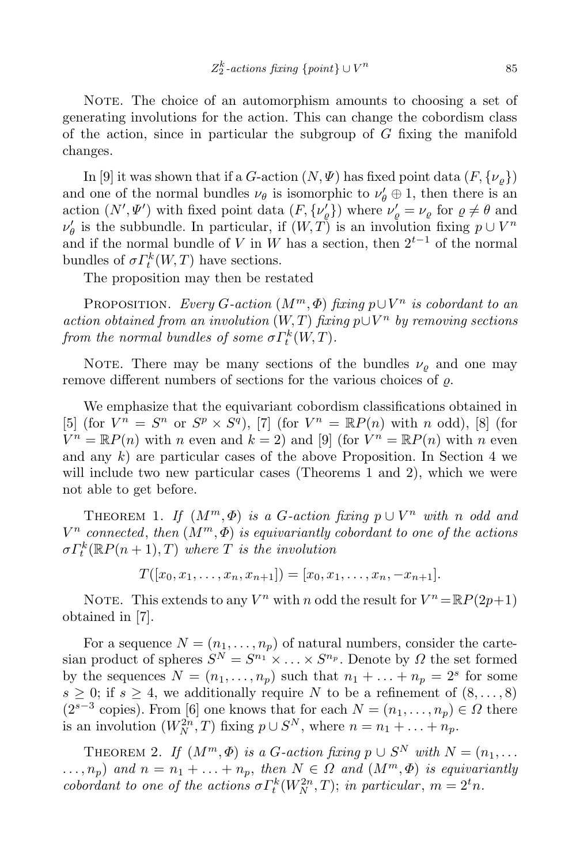NOTE. The choice of an automorphism amounts to choosing a set of generating involutions for the action. This can change the cobordism class of the action, since in particular the subgroup of *G* fixing the manifold changes.

In [9] it was shown that if a *G*-action  $(N, \Psi)$  has fixed point data  $(F, \{\nu_{\rho}\})$ and one of the normal bundles  $\nu_{\theta}$  is isomorphic to  $\nu'_{\theta} \oplus 1$ , then there is an action  $(N', \Psi')$  with fixed point data  $(F, \{\nu'_{\rho}\})$  where  $\nu'_{\rho} = \nu_{\rho}$  for  $\rho \neq \theta$  and  $\nu'_{\theta}$  is the subbundle. In particular, if  $(W, T)$  is an involution fixing  $p \cup V^n$ and if the normal bundle of *V* in *W* has a section, then  $2^{t-1}$  of the normal bundles of  $\sigma \Gamma_t^k(W,T)$  have sections.

The proposition may then be restated

PROPOSITION. *Every*  $G$ -action  $(M^m, \Phi)$  *fixing*  $p \cup V^n$  *is cobordant to an*  $\alpha$ *action obtained from an involution* (*W,T*) *fixing*  $p \cup V^n$  *by removing sections from the normal bundles of some*  $\sigma \Gamma_t^k(W,T)$ *.* 

NOTE. There may be many sections of the bundles  $\nu_{\rho}$  and one may remove different numbers of sections for the various choices of *%*.

We emphasize that the equivariant cobordism classifications obtained in [5] (for  $V^n = S^n$  or  $S^p \times S^q$ ), [7] (for  $V^n = \mathbb{R}P(n)$  with *n* odd), [8] (for  $V^n = \mathbb{R}P(n)$  with *n* even and  $k = 2$ ) and [9] (for  $V^n = \mathbb{R}P(n)$  with *n* even and any *k*) are particular cases of the above Proposition. In Section 4 we will include two new particular cases (Theorems 1 and 2), which we were not able to get before.

THEOREM 1. *If*  $(M^m, \Phi)$  *is a G*-action fixing  $p \cup V^n$  *with n odd and V <sup>n</sup> connected*, *then* (*Mm,Φ*) *is equivariantly cobordant to one of the actions*  $\sigma \Gamma_t^k(\mathbb{R}P(n+1),T)$  *where T is the involution* 

$$
T([x_0,x_1,\ldots,x_n,x_{n+1}])=[x_0,x_1,\ldots,x_n,-x_{n+1}].
$$

NOTE. This extends to any  $V^n$  with *n* odd the result for  $V^n = \mathbb{R}P(2p+1)$ obtained in [7].

For a sequence  $N = (n_1, \ldots, n_p)$  of natural numbers, consider the cartesian product of spheres  $S^N = S^{n_1} \times \ldots \times S^{n_p}$ . Denote by  $\Omega$  the set formed by the sequences  $N = (n_1, \ldots, n_p)$  such that  $n_1 + \ldots + n_p = 2^s$  for some  $s \geq 0$ ; if  $s \geq 4$ , we additionally require *N* to be a refinement of  $(8, \ldots, 8)$  $(2^{s-3} \text{ copies})$ . From [6] one knows that for each  $N = (n_1, \ldots, n_p) \in \Omega$  there is an involution  $(W_N^{2n}, T)$  fixing  $p \cup S^N$ , where  $n = n_1 + \ldots + n_p$ .

THEOREM 2. *If*  $(M^m, \Phi)$  *is a G*-*action fixing*  $p \cup S^N$  *with*  $N = (n_1, \ldots, n_n)$  $\ldots, n_p$ ) and  $n = n_1 + \ldots + n_p$ , then  $N \in \Omega$  and  $(M^m, \Phi)$  is equivariantly *cobordant to one of the actions*  $\sigma \Gamma_t^k(W_N^{2n}, T)$ ; *in particular*,  $m = 2^t n$ *.*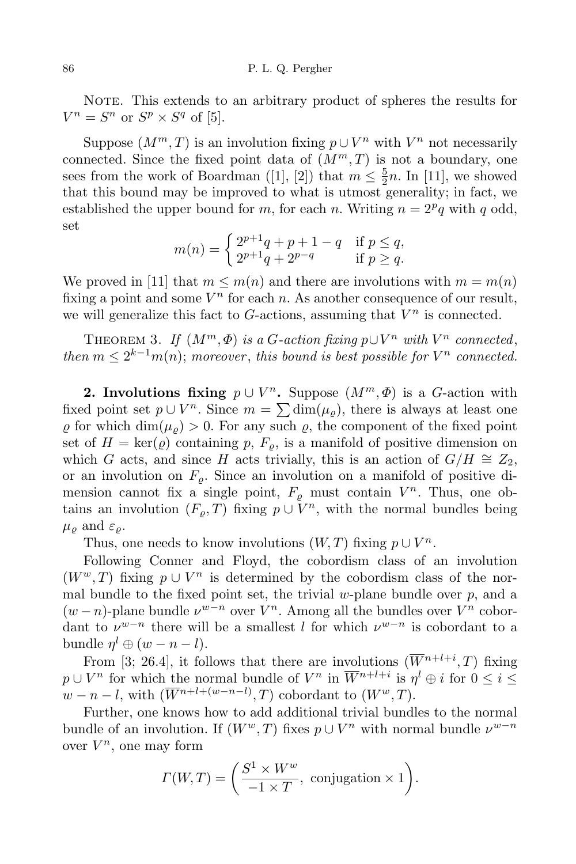NOTE. This extends to an arbitrary product of spheres the results for  $V^n = S^n$  or  $S^p \times S^q$  of [5].

Suppose  $(M^m, T)$  is an involution fixing  $p \cup V^n$  with  $V^n$  not necessarily connected. Since the fixed point data of  $(M<sup>m</sup>, T)$  is not a boundary, one sees from the work of Boardman ([1], [2]) that  $m \leq \frac{5}{2}$  $\frac{5}{2}n$ . In [11], we showed that this bound may be improved to what is utmost generality; in fact, we established the upper bound for *m*, for each *n*. Writing  $n = 2^p q$  with *q* odd, set

$$
m(n) = \begin{cases} 2^{p+1}q + p + 1 - q & \text{if } p \le q, \\ 2^{p+1}q + 2^{p-q} & \text{if } p \ge q. \end{cases}
$$

We proved in [11] that  $m \leq m(n)$  and there are involutions with  $m = m(n)$ fixing a point and some  $V^n$  for each  $n$ . As another consequence of our result, we will generalize this fact to  $G$ -actions, assuming that  $V^n$  is connected.

THEOREM 3. *If*  $(M^m, \Phi)$  *is a G*-action fixing  $p \cup V^n$  with  $V^n$  connected, *then*  $m \leq 2^{k-1}m(n)$ ; *moreover*, *this bound is best possible for*  $V^n$  *connected.* 

**2. Involutions fixing**  $p \cup V^n$ . Suppose  $(M^m, \Phi)$  is a *G*-action with fixed point set  $p \cup V^n$ . Since  $m = \sum \dim(\mu_{\varrho})$ , there is always at least one  $\rho$  for which dim( $\mu_{\rho}$ ) > 0. For any such  $\rho$ , the component of the fixed point set of  $H = \text{ker}(\rho)$  containing p,  $F_{\rho}$ , is a manifold of positive dimension on which *G* acts, and since *H* acts trivially, this is an action of  $G/H \cong Z_2$ , or an involution on  $F_{\rho}$ . Since an involution on a manifold of positive dimension cannot fix a single point,  $F_{\varrho}$  must contain  $V^n$ . Thus, one obtains an involution  $(F_{\varrho}, T)$  fixing  $p \cup V^n$ , with the normal bundles being  $\mu_{\rho}$  and  $\varepsilon_{\rho}$ .

Thus, one needs to know involutions  $(W, T)$  fixing  $p \cup V^n$ .

Following Conner and Floyd, the cobordism class of an involution  $(W^w, T)$  fixing  $p \cup V^n$  is determined by the cobordism class of the normal bundle to the fixed point set, the trivial *w*-plane bundle over *p*, and a  $(w - n)$ -plane bundle  $\nu^{w-n}$  over  $V^n$ . Among all the bundles over  $V^n$  cobordant to  $\nu^{w-n}$  there will be a smallest *l* for which  $\nu^{w-n}$  is cobordant to a bundle  $\eta^l \oplus (w - n - l)$ .

From [3; 26.4], it follows that there are involutions  $(\overline{W}^{n+l+i}, T)$  fixing  $p \cup V^n$  for which the normal bundle of  $V^n$  in  $\overline{W}^{n+l+i}$  is  $\eta^l \oplus i$  for  $0 \leq i \leq$  $w - n - l$ , with  $(\overline{W}^{n+l+(w-n-l)}, T)$  cobordant to  $(W^w, T)$ .

Further, one knows how to add additional trivial bundles to the normal bundle of an involution. If  $(W^w, T)$  fixes  $p \cup V^n$  with normal bundle  $\nu^{w-n}$ over  $V^n$ , one may form

$$
\Gamma(W,T) = \left(\frac{S^1 \times W^w}{-1 \times T}, \text{ conjugation} \times 1\right).
$$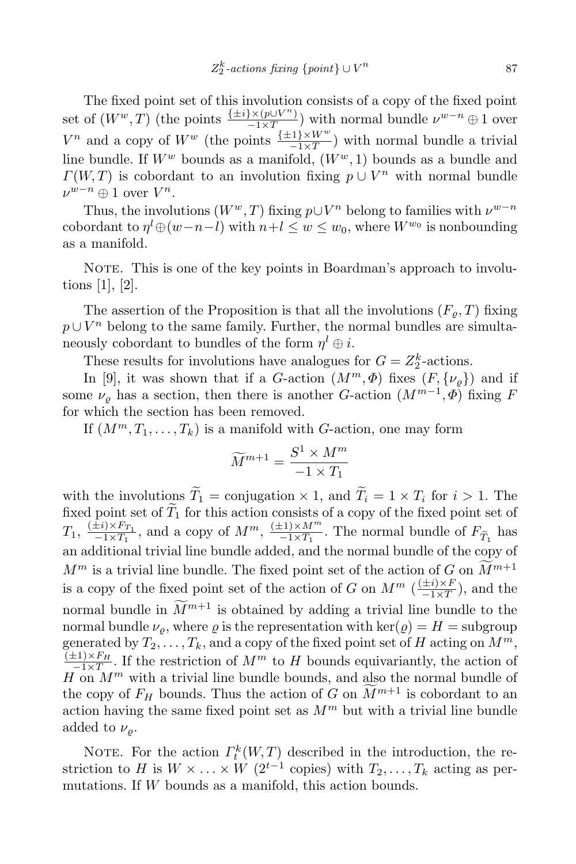The fixed point set of this involution consists of a copy of the fixed point set of  $(W^w, T)$  (the points  $\frac{\{\pm i\} \times (p \cup V^n)}{-1 \times T}$  $\frac{f^{\times} (p \cup V^{n})}{f^{\times} (p \cup V^{n})}$  with normal bundle  $\nu^{w-n} \oplus 1$  over *V*<sup>*n*</sup> and a copy of *W<sup><i>w*</sup> (the points  $\frac{\{\pm 1\} \times W^w}{-1 \times T}$ ) with normal bundle a trivial line bundle. If  $W^w$  bounds as a manifold,  $(W^w, 1)$  bounds as a bundle and  $\Gamma(W, T)$  is cobordant to an involution fixing  $p \cup V^n$  with normal bundle *ν*<sup>*w*−*n*</sup> ⊕ 1 over *V*<sup>*n*</sup>.

Thus, the involutions  $(W^w, T)$  fixing  $p \cup V^n$  belong to families with  $\nu^{w-n}$ cobordant to  $\eta^{l} \oplus (w-n-l)$  with  $n+l \leq w \leq w_0$ , where  $W^{w_0}$  is nonbounding as a manifold.

NOTE. This is one of the key points in Boardman's approach to involutions [1], [2].

The assertion of the Proposition is that all the involutions  $(F_o, T)$  fixing  $p \cup V^n$  belong to the same family. Further, the normal bundles are simultaneously cobordant to bundles of the form  $\eta^l \oplus i$ .

These results for involutions have analogues for  $G = Z_2^k$ -actions.

In [9], it was shown that if a *G*-action  $(M^m, \Phi)$  fixes  $(F, \{\nu_\varrho\})$  and if some  $\nu_{\varrho}$  has a section, then there is another *G*-action  $(M^{m-1}, \varPhi)$  fixing *F* for which the section has been removed.

If  $(M^m, T_1, \ldots, T_k)$  is a manifold with *G*-action, one may form

$$
\widetilde{M}^{m+1} = \frac{S^1 \times M^m}{-1 \times T_1}
$$

with the involutions  $T_1$  = conjugation  $\times$  1, and  $T_i = 1 \times T_i$  for  $i > 1$ . The fixed point set of  $\widetilde{T}_1$  for this action consists of a copy of the fixed point set of  $T_1, \frac{(\pm i)\times F_{T_1}}{-1\times T_1}$  $\frac{f_i(x) \times F_{T_1}}{-1 \times T_1}$ , and a copy of  $M^m$ ,  $\frac{(±1) \times M^m}{-1 \times T_1}$  $\frac{F_1}{F_1}$  The normal bundle of  $F_{\widetilde{T}_1}$  has an additional trivial line bundle added, and the normal bundle of the copy of  $M^m$  is a trivial line bundle. The fixed point set of the action of *G* on  $\widetilde{M}^{m+1}$ is a copy of the fixed point set of the action of *G* on  $M^m$  ( $\frac{(\pm i)\times F}{-1\times T}$ ), and the *−*1*×T* normal bundle in  $M^{m+1}$  is obtained by adding a trivial line bundle to the normal bundle  $\nu_{\rho}$ , where  $\rho$  is the representation with ker( $\rho$ ) = *H* = subgroup generated by  $T_2, \ldots, T_k$ , and a copy of the fixed point set of *H* acting on  $M^m$ ,  $\frac{(\pm 1) \times F_H}{\sqrt{1 - \lambda^2}}$ . If the restriction of  $M^m$  to H bounds equivariantly, the action of  $H \cap M^m$  with a trivial line bundle bounds, and also the normal bundle of the copy of  $F_H$  bounds. Thus the action of *G* on  $\widetilde{M}^{m+1}$  is cobordant to an action having the same fixed point set as  $M<sup>m</sup>$  but with a trivial line bundle added to  $\nu_{\rho}$ .

NOTE. For the action  $\Gamma_t^k(W,T)$  described in the introduction, the restriction to *H* is  $W \times \ldots \times W$  (2<sup>*t*-1</sup> copies) with  $T_2, \ldots, T_k$  acting as permutations. If *W* bounds as a manifold, this action bounds.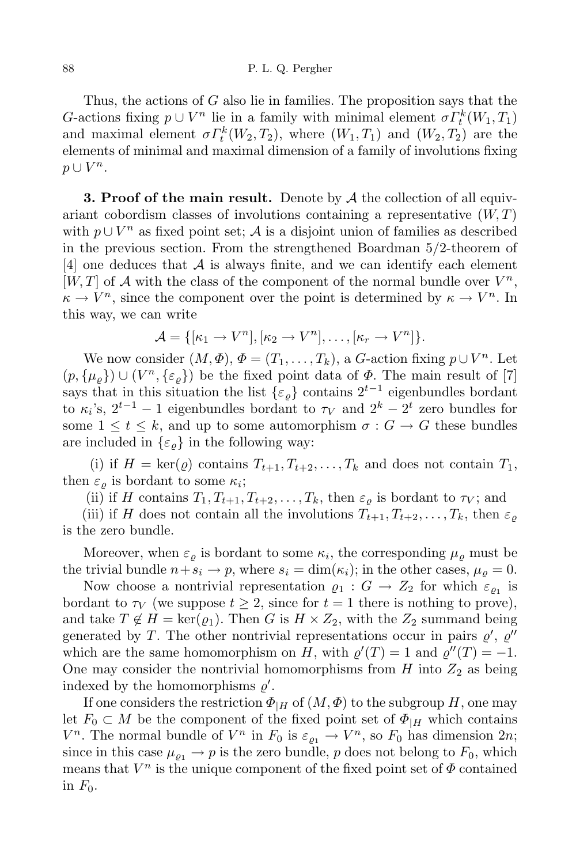## 88 P. L. Q. Pergher

Thus, the actions of *G* also lie in families. The proposition says that the *G*-actions fixing  $p \cup V^n$  lie in a family with minimal element  $\sigma \Gamma_k^k(W_1, T_1)$ and maximal element  $\sigma \Gamma_t^k(W_2, T_2)$ , where  $(W_1, T_1)$  and  $(W_2, T_2)$  are the elements of minimal and maximal dimension of a family of involutions fixing *p ∪ V n*.

**3. Proof of the main result.** Denote by *A* the collection of all equivariant cobordism classes of involutions containing a representative  $(W, T)$ with  $p \cup V^n$  as fixed point set; *A* is a disjoint union of families as described in the previous section. From the strengthened Boardman 5*/*2-theorem of [4] one deduces that *A* is always finite, and we can identify each element  $[W, T]$  of *A* with the class of the component of the normal bundle over  $V^n$ ,  $\kappa \to V^n$ , since the component over the point is determined by  $\kappa \to V^n$ . In this way, we can write

$$
\mathcal{A} = \{[\kappa_1 \to V^n], [\kappa_2 \to V^n], \dots, [\kappa_r \to V^n]\}.
$$

We now consider  $(M, \Phi), \Phi = (T_1, \ldots, T_k),$  a *G*-action fixing  $p \cup V^n$ . Let  $(p, {\mu_\varrho}) \cup (V^n, {\varepsilon_\varrho})$  be the fixed point data of  $\Phi$ . The main result of [7] says that in this situation the list  $\{\varepsilon_\varrho\}$  contains  $2^{t-1}$  eigenbundles bordant to  $\kappa_i$ 's,  $2^{t-1} - 1$  eigenbundles bordant to  $\tau_V$  and  $2^k - 2^t$  zero bundles for some  $1 \leq t \leq k$ , and up to some automorphism  $\sigma : G \to G$  these bundles are included in  $\{\varepsilon_{\rho}\}\$ in the following way:

(i) if  $H = \text{ker}(\varrho)$  contains  $T_{t+1}, T_{t+2}, \ldots, T_k$  and does not contain  $T_1$ , then  $\varepsilon_{\varrho}$  is bordant to some  $\kappa_i$ ;

(ii) if *H* contains  $T_1, T_{t+1}, T_{t+2}, \ldots, T_k$ , then  $\varepsilon_\rho$  is bordant to  $\tau_V$ ; and

(iii) if *H* does not contain all the involutions  $T_{t+1}, T_{t+2}, \ldots, T_k$ , then  $\varepsilon_\rho$ is the zero bundle.

Moreover, when  $\varepsilon_{\varrho}$  is bordant to some  $\kappa_i$ , the corresponding  $\mu_{\varrho}$  must be the trivial bundle  $n + s_i \rightarrow p$ , where  $s_i = \dim(\kappa_i)$ ; in the other cases,  $\mu_o = 0$ .

Now choose a nontrivial representation  $\varrho_1 : G \to Z_2$  for which  $\varepsilon_{\varrho_1}$  is bordant to  $\tau_V$  (we suppose  $t \geq 2$ , since for  $t = 1$  there is nothing to prove), and take  $T \notin H = \text{ker}(\varrho_1)$ . Then *G* is  $H \times Z_2$ , with the  $Z_2$  summand being generated by *T*. The other nontrivial representations occur in pairs  $\varrho'$ ,  $\varrho''$ which are the same homomorphism on *H*, with  $\varrho'(T) = 1$  and  $\varrho''(T) = -1$ . One may consider the nontrivial homomorphisms from  $H$  into  $Z_2$  as being indexed by the homomorphisms  $\varrho'$ .

If one considers the restriction  $\Phi_{\mid H}$  of  $(M, \Phi)$  to the subgroup *H*, one may let  $F_0 \subset M$  be the component of the fixed point set of  $\Phi_{\vert H}$  which contains *V*<sup>*n*</sup>. The normal bundle of *V*<sup>*n*</sup> in *F*<sub>0</sub> is  $\varepsilon_{\varrho_1} \to V$ <sup>*n*</sup>, so *F*<sub>0</sub> has dimension 2*n*; since in this case  $\mu_{\varrho_1} \to p$  is the zero bundle, p does not belong to  $F_0$ , which means that  $V^n$  is the unique component of the fixed point set of  $\Phi$  contained in  $F_0$ .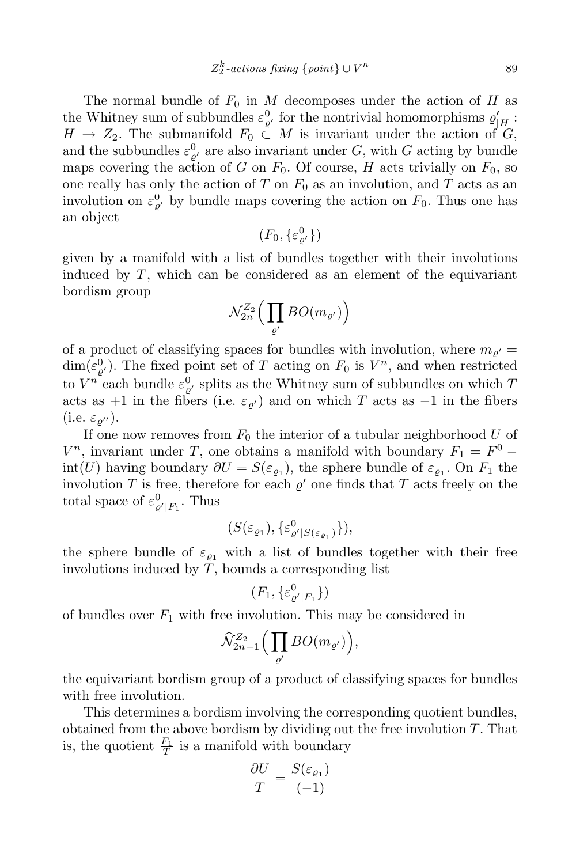The normal bundle of  $F_0$  in M decomposes under the action of H as the Whitney sum of subbundles  $\varepsilon_{\theta}^0$ , for the nontrivial homomorphisms  $\varrho'_{H}$ :  $H \rightarrow Z_2$ . The submanifold  $F_0 \subset M$  is invariant under the action of *G*, and the subbundles  $\varepsilon_{\varrho'}^0$  are also invariant under *G*, with *G* acting by bundle maps covering the action of *G* on  $F_0$ . Of course, *H* acts trivially on  $F_0$ , so one really has only the action of  $T$  on  $F_0$  as an involution, and  $T$  acts as an involution on  $\varepsilon_{\varrho}^0$  by bundle maps covering the action on  $F_0$ . Thus one has an object

$$
(F_0, \{\varepsilon_{\varrho'}^0\})
$$

given by a manifold with a list of bundles together with their involutions induced by *T*, which can be considered as an element of the equivariant bordism group

$$
\mathcal{N}^{Z_2}_{2n}\Big(\prod_{\varrho'}BO(m_{\varrho'})\Big)
$$

of a product of classifying spaces for bundles with involution, where  $m_{\rho'} =$  $\dim(\varepsilon_{\varrho'}^0)$ . The fixed point set of *T* acting on  $F_0$  is  $V^n$ , and when restricted to  $V^n$  each bundle  $\varepsilon_{\varrho'}^0$  splits as the Whitney sum of subbundles on which  $T$ acts as  $+1$  in the fibers (i.e.  $\varepsilon_{\varrho'}$ ) and on which *T* acts as  $-1$  in the fibers  $(i.e. \varepsilon_{\rho''}).$ 

If one now removes from  $F_0$  the interior of a tubular neighborhood  $U$  of *V*<sup>n</sup>, invariant under *T*, one obtains a manifold with boundary  $F_1 = F^0$  $int(U)$  having boundary  $\partial U = S(\varepsilon_{\varrho_1})$ , the sphere bundle of  $\varepsilon_{\varrho_1}$ . On  $F_1$  the involution *T* is free, therefore for each  $\varrho'$  one finds that *T* acts freely on the total space of  $\varepsilon_{\varrho' | F_1}^0$ . Thus

$$
(S(\varepsilon_{\varrho_1}), \{\varepsilon_{\varrho' | S(\varepsilon_{\varrho_1})}^0\}),
$$

the sphere bundle of  $\varepsilon_{\rho_1}$  with a list of bundles together with their free involutions induced by *T*, bounds a corresponding list

$$
(F_1, \{\varepsilon^0_{\varrho'|F_1}\})
$$

of bundles over  $F_1$  with free involution. This may be considered in

$$
\widehat{\mathcal{N}}_{2n-1}^{Z_2}\Big(\prod_{\varrho'}BO(m_{\varrho'})\Big),
$$

the equivariant bordism group of a product of classifying spaces for bundles with free involution.

This determines a bordism involving the corresponding quotient bundles, obtained from the above bordism by dividing out the free involution *T*. That is, the quotient  $\frac{F_1}{T}$  is a manifold with boundary

$$
\frac{\partial U}{T} = \frac{S(\varepsilon_{\varrho_1})}{(-1)}
$$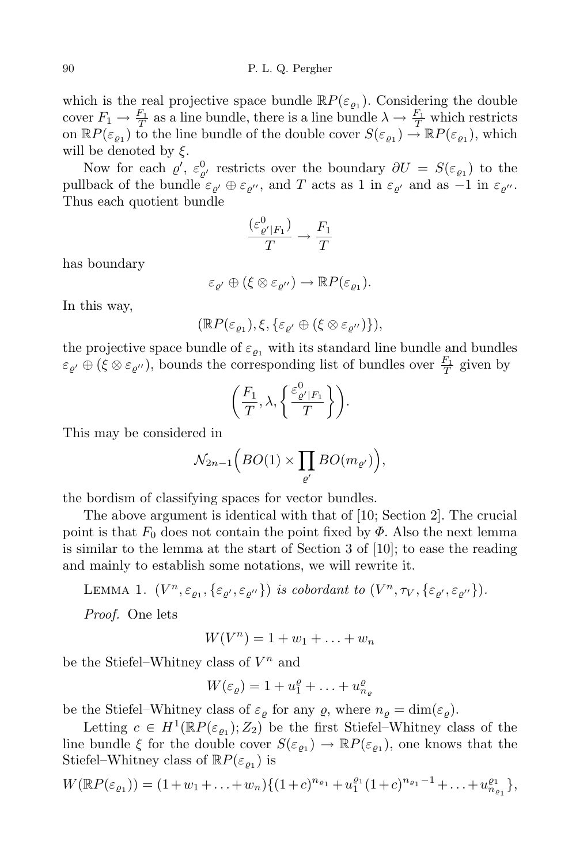which is the real projective space bundle  $\mathbb{R}P(\varepsilon_{\varrho_1})$ . Considering the double cover  $F_1 \to \frac{F_1}{T}$  as a line bundle, there is a line bundle  $\lambda \to \frac{F_1}{T}$  which restricts on  $\mathbb{R}P(\varepsilon_{\varrho_1})$  to the line bundle of the double cover  $S(\varepsilon_{\varrho_1}) \to \mathbb{R}P(\varepsilon_{\varrho_1})$ , which will be denoted by *ξ*.

Now for each  $\varrho'$ ,  $\varepsilon_{\varrho'}^0$  restricts over the boundary  $\partial U = S(\varepsilon_{\varrho_1})$  to the pullback of the bundle  $\varepsilon_{\rho}$   $\theta \in \varepsilon_{\rho}$ , and *T* acts as 1 in  $\varepsilon_{\rho}$  and as  $-1$  in  $\varepsilon_{\rho}$ . Thus each quotient bundle

$$
\frac{(\varepsilon_{\varrho'\vert F_1}^0)}{T} \to \frac{F_1}{T}
$$

has boundary

$$
\varepsilon_{\varrho'}\oplus(\xi\otimes\varepsilon_{\varrho''})\to \mathbb{R}P(\varepsilon_{\varrho_1}).
$$

In this way,

$$
(\mathbb{R}P(\varepsilon_{\varrho_1}), \xi, \{\varepsilon_{\varrho'} \oplus (\xi \otimes \varepsilon_{\varrho''})\}),
$$

the projective space bundle of  $\varepsilon_{\rho_1}$  with its standard line bundle and bundles  $\varepsilon_{\varrho'} \oplus (\xi \otimes \varepsilon_{\varrho''})$ , bounds the corresponding list of bundles over  $\frac{F_1}{T}$  given by

$$
\left(\frac{F_1}{T}, \lambda, \left\{\frac{\varepsilon^0_{\varrho'|F_1}}{T}\right\}\right).
$$

This may be considered in

$$
\mathcal{N}_{2n-1}\Big(BO(1)\times\prod_{\varrho'}BO(m_{\varrho'})\Big),\,
$$

the bordism of classifying spaces for vector bundles.

The above argument is identical with that of [10; Section 2]. The crucial point is that  $F_0$  does not contain the point fixed by  $\Phi$ . Also the next lemma is similar to the lemma at the start of Section 3 of [10]; to ease the reading and mainly to establish some notations, we will rewrite it.

LEMMA 1. 
$$
(V^n, \varepsilon_{\varrho_1}, \{\varepsilon_{\varrho'}, \varepsilon_{\varrho''}\})
$$
 is cobordant to  $(V^n, \tau_V, \{\varepsilon_{\varrho'}, \varepsilon_{\varrho''}\})$ .

*Proof.* One lets

$$
W(V^n) = 1 + w_1 + \ldots + w_n
$$

be the Stiefel–Whitney class of *V <sup>n</sup>* and

$$
W(\varepsilon_{\varrho}) = 1 + u_1^{\varrho} + \ldots + u_{n_{\varrho}}^{\varrho}
$$

be the Stiefel–Whitney class of  $\varepsilon_{\varrho}$  for any  $\varrho$ , where  $n_{\varrho} = \dim(\varepsilon_{\varrho})$ .

Letting  $c \in H^1(\mathbb{R}P(\varepsilon_{\varrho_1}); Z_2)$  be the first Stiefel–Whitney class of the line bundle  $\xi$  for the double cover  $S(\varepsilon_{\varrho_1}) \to \mathbb{R}P(\varepsilon_{\varrho_1})$ , one knows that the Stiefel–Whitney class of  $\mathbb{R}P(\varepsilon_{\varrho_1})$  is

$$
W(\mathbb{R}P(\varepsilon_{\varrho_1})) = (1+w_1+\ldots+w_n)\{(1+c)^{n_{\varrho_1}}+u_1^{\varrho_1}(1+c)^{n_{\varrho_1}-1}+\ldots+u_{n_{\varrho_1}}^{\varrho_1}\},
$$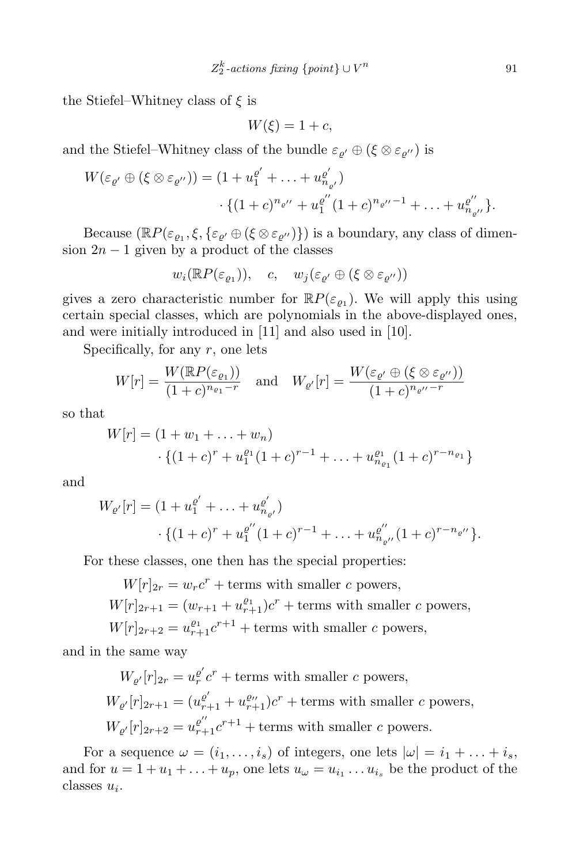the Stiefel–Whitney class of *ξ* is

$$
W(\xi) = 1 + c,
$$

and the Stiefel–Whitney class of the bundle  $\varepsilon_{\rho'} \oplus (\xi \otimes \varepsilon_{\rho''})$  is

$$
W(\varepsilon_{\varrho'} \oplus (\xi \otimes \varepsilon_{\varrho''})) = (1 + u_1^{\varrho'} + \ldots + u_{n_{\varrho'}}^{\varrho'})
$$

$$
\cdot \{ (1 + c)^{n_{\varrho''}} + u_1^{\varrho''} (1 + c)^{n_{\varrho''} - 1} + \ldots + u_{n_{\varrho''}}^{\varrho''} \}.
$$

Because  $(\mathbb{R}P(\varepsilon_{\varrho_1}, \xi, \{\varepsilon_{\varrho'} \oplus (\xi \otimes \varepsilon_{\varrho''})\})$  is a boundary, any class of dimension  $2n - 1$  given by a product of the classes

$$
w_i(\mathbb{R}P(\varepsilon_{\varrho_1})), \quad c, \quad w_j(\varepsilon_{\varrho'} \oplus (\xi \otimes \varepsilon_{\varrho''}))
$$

gives a zero characteristic number for  $\mathbb{R}P(\varepsilon_{\varrho_1})$ . We will apply this using certain special classes, which are polynomials in the above-displayed ones, and were initially introduced in [11] and also used in [10].

Specifically, for any *r*, one lets

$$
W[r] = \frac{W(\mathbb{R}P(\varepsilon_{\varrho_1}))}{(1+c)^{n_{\varrho_1}-r}} \quad \text{and} \quad W_{\varrho'}[r] = \frac{W(\varepsilon_{\varrho'} \oplus (\xi \otimes \varepsilon_{\varrho''}))}{(1+c)^{n_{\varrho''}-r}}
$$

so that

$$
W[r] = (1 + w_1 + \dots + w_n)
$$
  
 
$$
\cdot \{(1 + c)^r + u_1^{e_1}(1 + c)^{r-1} + \dots + u_{n_{e_1}}^{e_1}(1 + c)^{r-n_{e_1}}\}
$$

and

$$
W_{\varrho'}[r] = (1 + u_1^{\varrho'} + \dots + u_{n_{\varrho'}}^{\varrho'})
$$
  
 
$$
\cdot \{(1 + c)^r + u_1^{\varrho''}(1 + c)^{r-1} + \dots + u_{n_{\varrho''}}^{\varrho''}(1 + c)^{r-n_{\varrho''}}\}.
$$

For these classes, one then has the special properties:

 $W[r]_{2r} = w_r c^r + \text{terms with smaller } c \text{ powers,}$  $W[r]_{2r+1} = (w_{r+1} + u_{r+1}^{\varrho_1})c^r + \text{terms with smaller } c \text{ powers},$  $W[r]_{2r+2} = u_{r+1}^{\varrho_1} c^{r+1} + \text{terms with smaller } c \text{ powers},$ 

and in the same way

 $W_{\varrho'}[r]_{2r} = u_r^{\varrho'}c^r + \text{terms with smaller } c \text{ powers,}$  $W_{\varrho'}[r]_{2r+1} = (u_{r+1}^{\varrho'} + u_{r+1}^{\varrho''})c^r + \text{terms with smaller } c \text{ powers},$  $W_{\varrho'}[r]_{2r+2} = u_{r+1}^{\varrho''}c^{r+1} + \text{terms with smaller } c \text{ powers.}$ 

For a sequence  $\omega = (i_1, \ldots, i_s)$  of integers, one lets  $|\omega| = i_1 + \ldots + i_s$ , and for  $u = 1 + u_1 + \ldots + u_p$ , one lets  $u_\omega = u_{i_1} \ldots u_{i_s}$  be the product of the classes *u<sup>i</sup>* .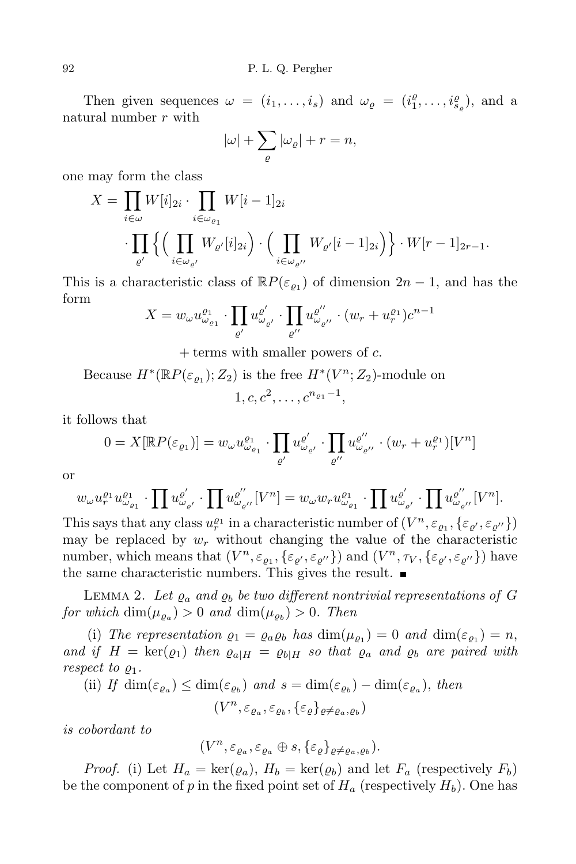Then given sequences  $\omega = (i_1, \ldots, i_s)$  and  $\omega_{\varrho} = (i_1^{\varrho}, \ldots, i_{s_{\varrho}}^{\varrho})$ , and a natural number *r* with

$$
|\omega| + \sum_{\varrho} |\omega_{\varrho}| + r = n,
$$

one may form the class

$$
X = \prod_{i \in \omega} W[i]_{2i} \cdot \prod_{i \in \omega_{\varrho_1}} W[i-1]_{2i}
$$

$$
\cdot \prod_{\varrho'} \left\{ \left( \prod_{i \in \omega_{\varrho'}} W_{\varrho'}[i]_{2i} \right) \cdot \left( \prod_{i \in \omega_{\varrho''}} W_{\varrho'}[i-1]_{2i} \right) \right\} \cdot W[r-1]_{2r-1}.
$$

This is a characteristic class of  $\mathbb{R}P(\varepsilon_{\varrho_1})$  of dimension  $2n-1$ , and has the form

$$
X = w_{\omega} u_{\omega_{\varrho_1}}^{e_1} \cdot \prod_{\varrho'} u_{\omega_{\varrho'}}^{e'} \cdot \prod_{\varrho''} u_{\omega_{\varrho''}}^{e''} \cdot (w_r + u_r^{e_1}) c^{n-1}
$$

+ terms with smaller powers of *c*.

Because  $H^*(\mathbb{R}P(\varepsilon_{\varrho_1}); Z_2)$  is the free  $H^*(V^n; Z_2)$ -module on  $1, c, c^2, \ldots, c^{n_{\varrho_1}-1},$ 

it follows that

$$
0 = X[\mathbb{R}P(\varepsilon_{\varrho_1})] = w_{\omega}u_{\omega_{\varrho_1}}^{\varrho_1} \cdot \prod_{\varrho'} u_{\omega_{\varrho'}}^{\varrho'} \cdot \prod_{\varrho''} u_{\omega_{\varrho''}}^{\varrho''} \cdot (w_r + u_r^{\varrho_1})[V^n]
$$

or

$$
w_\omega u_r^{\varrho_1} u_{\omega_{\varrho_1}}^{\varrho_1} \cdot \prod u_{\omega_{\varrho'}}^{\varrho'} \cdot \prod u_{\omega_{\varrho''}}^{\varrho''} [V^n] = w_\omega w_r u_{\omega_{\varrho_1}}^{\varrho_1} \cdot \prod u_{\omega_{\varrho'}}^{\varrho'} \cdot \prod u_{\omega_{\varrho''}}^{\varrho''} [V^n].
$$

This says that any class  $u_r^{\varrho_1}$  in a characteristic number of  $(V^n, \varepsilon_{\varrho_1}, {\{\varepsilon_{\varrho'}, \varepsilon_{\varrho''}\}})$ may be replaced by  $w_r$  without changing the value of the characteristic number, which means that  $(V^n, \varepsilon_{\varrho_1}, {\{\varepsilon_{\varrho'}, \varepsilon_{\varrho''}\}})$  and  $(V^n, \tau_V, {\{\varepsilon_{\varrho'}, \varepsilon_{\varrho''}\}})$  have the same characteristic numbers. This gives the result.

LEMMA 2. Let  $\varrho_a$  and  $\varrho_b$  be two different nontrivial representations of G  $for \ which \dim(\mu_{\varrho_a}) > 0 \ and \ \dim(\mu_{\varrho_b}) > 0$ . *Then* 

(i) The representation  $\varrho_1 = \varrho_a \varrho_b$  has  $\dim(\mu_{\varrho_1}) = 0$  and  $\dim(\varepsilon_{\varrho_1}) = n$ , and if  $H = \text{ker}(\rho_1)$  then  $\rho_{a|H} = \rho_{b|H}$  so that  $\rho_a$  and  $\rho_b$  are paired with *respect to*  $\varrho_1$ *.* 

(ii) If 
$$
\dim(\varepsilon_{\varrho_a}) \leq \dim(\varepsilon_{\varrho_b})
$$
 and  $s = \dim(\varepsilon_{\varrho_b}) - \dim(\varepsilon_{\varrho_a})$ , then

$$
(V^n,\varepsilon_{\varrho_a},\varepsilon_{\varrho_b},\{\varepsilon_\varrho\}_{\varrho\neq\varrho_a,\varrho_b})
$$

*is cobordant to*

$$
(V^n,\varepsilon_{\varrho_a},\varepsilon_{\varrho_a}\oplus s,\{\varepsilon_\varrho\}_{\varrho\neq\varrho_a,\varrho_b}).
$$

*Proof.* (i) Let  $H_a = \text{ker}(\varrho_a)$ ,  $H_b = \text{ker}(\varrho_b)$  and let  $F_a$  (respectively  $F_b$ ) be the component of  $p$  in the fixed point set of  $H_a$  (respectively  $H_b$ ). One has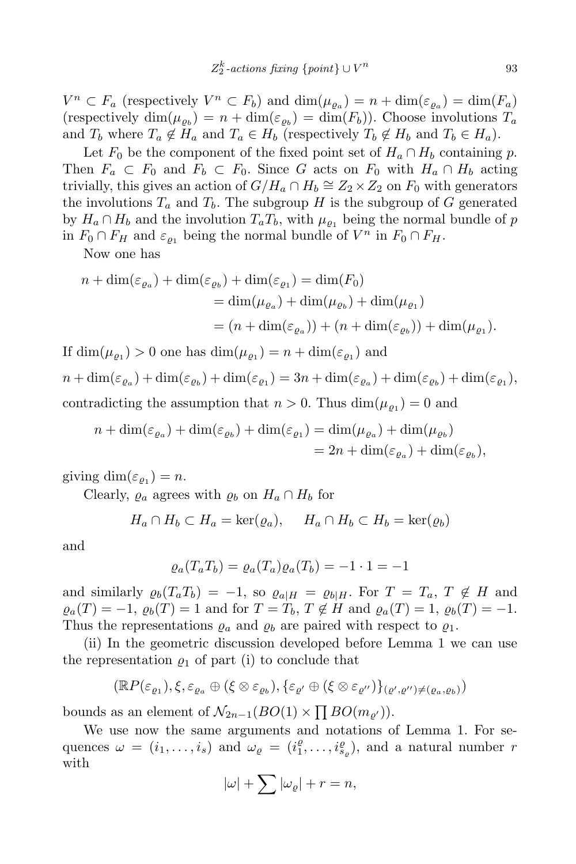$V^n \subset F_a$  (respectively  $V^n \subset F_b$ ) and  $\dim(\mu_{\varrho_a}) = n + \dim(\varepsilon_{\varrho_a}) = \dim(F_a)$ (respectively dim $(\mu_{\varrho_b}) = n + \dim(\varepsilon_{\varrho_b}) = \dim(F_b)$ ). Choose involutions  $T_a$ and  $T_b$  where  $T_a \notin H_a$  and  $T_a \in H_b$  (respectively  $T_b \notin H_b$  and  $T_b \in H_a$ ).

Let  $F_0$  be the component of the fixed point set of  $H_a \cap H_b$  containing p. Then  $F_a \subset F_0$  and  $F_b \subset F_0$ . Since *G* acts on  $F_0$  with  $H_a \cap H_b$  acting trivially, this gives an action of  $G/H_a \cap H_b \cong Z_2 \times Z_2$  on  $F_0$  with generators the involutions  $T_a$  and  $T_b$ . The subgroup *H* is the subgroup of *G* generated by  $H_a \cap H_b$  and the involution  $T_a T_b$ , with  $\mu_{\rho_1}$  being the normal bundle of p in  $F_0 \cap F_H$  and  $\varepsilon_{\varrho_1}$  being the normal bundle of  $V^n$  in  $F_0 \cap F_H$ .

Now one has

$$
n + \dim(\varepsilon_{\varrho_a}) + \dim(\varepsilon_{\varrho_b}) + \dim(\varepsilon_{\varrho_1}) = \dim(F_0)
$$
  
= 
$$
\dim(\mu_{\varrho_a}) + \dim(\mu_{\varrho_b}) + \dim(\mu_{\varrho_1})
$$
  
= 
$$
(n + \dim(\varepsilon_{\varrho_a})) + (n + \dim(\varepsilon_{\varrho_b})) + \dim(\mu_{\varrho_1}).
$$

If  $\dim(\mu_{\varrho_1}) > 0$  one has  $\dim(\mu_{\varrho_1}) = n + \dim(\varepsilon_{\varrho_1})$  and  $n + \dim(\varepsilon_{\varrho_a}) + \dim(\varepsilon_{\varrho_b}) + \dim(\varepsilon_{\varrho_1}) = 3n + \dim(\varepsilon_{\varrho_a}) + \dim(\varepsilon_{\varrho_b}) + \dim(\varepsilon_{\varrho_1}),$ contradicting the assumption that  $n > 0$ . Thus  $\dim(\mu_{\varrho_1}) = 0$  and

$$
n + \dim(\varepsilon_{\varrho_a}) + \dim(\varepsilon_{\varrho_b}) + \dim(\varepsilon_{\varrho_1}) = \dim(\mu_{\varrho_a}) + \dim(\mu_{\varrho_b})
$$
  
= 2n + \dim(\varepsilon\_{\varrho\_a}) + \dim(\varepsilon\_{\varrho\_b}),

giving  $\dim(\varepsilon_{\varrho_1}) = n$ .

Clearly,  $\varrho_a$  agrees with  $\varrho_b$  on  $H_a \cap H_b$  for

$$
H_a \cap H_b \subset H_a = \ker(\varrho_a), \quad H_a \cap H_b \subset H_b = \ker(\varrho_b)
$$

and

$$
\varrho_a(T_a T_b) = \varrho_a(T_a) \varrho_a(T_b) = -1 \cdot 1 = -1
$$

and similarly  $\varrho_b(T_a T_b) = -1$ , so  $\varrho_{a|H} = \varrho_{b|H}$ . For  $T = T_a, T \notin H$  and  $\varrho_a(T) = -1$ ,  $\varrho_b(T) = 1$  and for  $T = T_b$ ,  $T \notin H$  and  $\varrho_a(T) = 1$ ,  $\varrho_b(T) = -1$ . Thus the representations  $\rho_a$  and  $\rho_b$  are paired with respect to  $\rho_1$ .

(ii) In the geometric discussion developed before Lemma 1 we can use the representation  $\rho_1$  of part (i) to conclude that

$$
(\mathbb{R}P(\varepsilon_{\varrho_1}), \xi, \varepsilon_{\varrho_a} \oplus (\xi \otimes \varepsilon_{\varrho_b}), \{\varepsilon_{\varrho'} \oplus (\xi \otimes \varepsilon_{\varrho''})\}_{(\varrho', \varrho'') \neq (\varrho_a, \varrho_b)})
$$

bounds as an element of  $\mathcal{N}_{2n-1}(BO(1) \times \prod BO(m_{\varrho'}))$ .

We use now the same arguments and notations of Lemma 1. For sequences  $\omega = (i_1, \ldots, i_s)$  and  $\omega_{\varrho} = (i_1^{\varrho}, \ldots, i_{s_{\varrho}}^{\varrho}),$  and a natural number r with

$$
|\omega| + \sum |\omega_{\varrho}| + r = n,
$$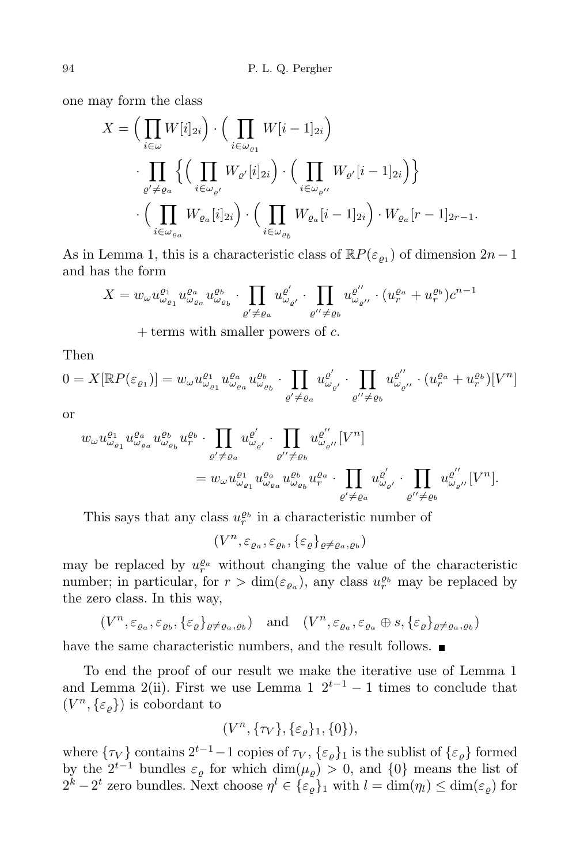one may form the class

$$
X = \Big(\prod_{i \in \omega} W[i]_{2i}\Big) \cdot \Big(\prod_{i \in \omega_{\varrho_1}} W[i-1]_{2i}\Big)
$$
  

$$
\cdot \prod_{\varrho' \neq \varrho_a} \Big\{\Big(\prod_{i \in \omega_{\varrho'}} W_{\varrho'}[i]_{2i}\Big) \cdot \Big(\prod_{i \in \omega_{\varrho''}} W_{\varrho'}[i-1]_{2i}\Big)\Big\}
$$
  

$$
\cdot \Big(\prod_{i \in \omega_{\varrho_a}} W_{\varrho_a}[i]_{2i}\Big) \cdot \Big(\prod_{i \in \omega_{\varrho_b}} W_{\varrho_a}[i-1]_{2i}\Big) \cdot W_{\varrho_a}[r-1]_{2r-1}.
$$

As in Lemma 1, this is a characteristic class of  $\mathbb{R}P(\varepsilon_{\varrho_1})$  of dimension  $2n-1$ and has the form

$$
X = w_{\omega} u_{\omega_{\varrho_1}}^{a_1} u_{\omega_{\varrho_a}}^{a_a} u_{\omega_{\varrho_b}}^{a_b} \cdot \prod_{\varrho' \neq \varrho_a} u_{\omega_{\varrho'}}^{\varrho'} \cdot \prod_{\varrho'' \neq \varrho_b} u_{\omega_{\varrho''}}^{\varrho''} \cdot (u_r^{\varrho_a} + u_r^{\varrho_b}) c^{n-1}
$$

+ terms with smaller powers of *c.*

Then

$$
0 = X[\mathbb{R}P(\varepsilon_{\varrho_1})] = w_{\omega} u_{\omega_{\varrho_1}}^{\varrho_1} u_{\omega_{\varrho_a}}^{\varrho_a} u_{\omega_{\varrho_b}}^{\varrho_b} \cdot \prod_{\varrho' \neq \varrho_a} u_{\omega_{\varrho'}}^{\varrho'} \cdot \prod_{\varrho'' \neq \varrho_b} u_{\omega_{\varrho''}}^{\varrho''} \cdot (u_r^{\varrho_a} + u_r^{\varrho_b})[V^n]
$$

or

$$
w_{\omega}u_{\omega_{\varrho_1}}^{\varrho_1}u_{\omega_{\varrho_a}}^{\varrho_a}u_{\omega_{\varrho_b}}^{\varrho_b}u_r^{\varrho_b}\cdot\prod_{\varrho'\neq\varrho_a}u_{\omega_{\varrho'}}^{\varrho'}\cdot\prod_{\varrho''\neq\varrho_b}u_{\omega_{\varrho'}}^{\varrho''}\cdot\prod_{\varrho'\neq\varrho_b}u_{\omega_{\varrho'}}^{\varrho''}\cdot\prod_{\varrho'\neq\varrho_a}u_{\omega_{\varrho'}}^{\varrho'}\cdot\prod_{\varrho''\neq\varrho_b}u_{\omega_{\varrho''}}^{\varrho''}\cdot[V^n].
$$

This says that any class  $u_r^{\varrho_b}$  in a characteristic number of

 $(V^n, \varepsilon_{\varrho_a}, \varepsilon_{\varrho_b}, \{\varepsilon_\varrho\}_{\varrho \neq \varrho_a, \varrho_b})$ 

may be replaced by  $u_r^{\varrho_a}$  without changing the value of the characteristic number; in particular, for  $r > \dim(\varepsilon_{\varrho_a})$ , any class  $u_r^{\varrho_b}$  may be replaced by the zero class. In this way,

$$
(V^n, \varepsilon_{\varrho_a}, \varepsilon_{\varrho_b}, \{\varepsilon_{\varrho}\}_{\varrho \neq \varrho_a, \varrho_b}) \quad \text{and} \quad (V^n, \varepsilon_{\varrho_a}, \varepsilon_{\varrho_a}, \varrho_s, \{\varepsilon_{\varrho}\}_{\varrho \neq \varrho_a, \varrho_b})
$$

have the same characteristic numbers, and the result follows.  $\blacksquare$ 

To end the proof of our result we make the iterative use of Lemma 1 and Lemma 2(ii). First we use Lemma 1  $2^{t-1} - 1$  times to conclude that  $(V<sup>n</sup>, {\varepsilon<sub>\varrho</sub>}$ ) is cobordant to

$$
(V^n,\{\tau_V\},\{\varepsilon_\varrho\}_1,\{0\}),
$$

where  $\{\tau_V\}$  contains  $2^{t-1} - 1$  copies of  $\tau_V$ ,  $\{\varepsilon_\varrho\}$  is the sublist of  $\{\varepsilon_\varrho\}$  formed by the  $2^{t-1}$  bundles  $\varepsilon_{\varrho}$  for which  $\dim(\mu_{\varrho}) > 0$ , and  $\{0\}$  means the list of  $2^k - 2^t$  zero bundles. Next choose  $\eta^l \in {\{\varepsilon_\varrho\}}_1$  with  $l = \dim(\eta_l) \leq \dim(\varepsilon_\varrho)$  for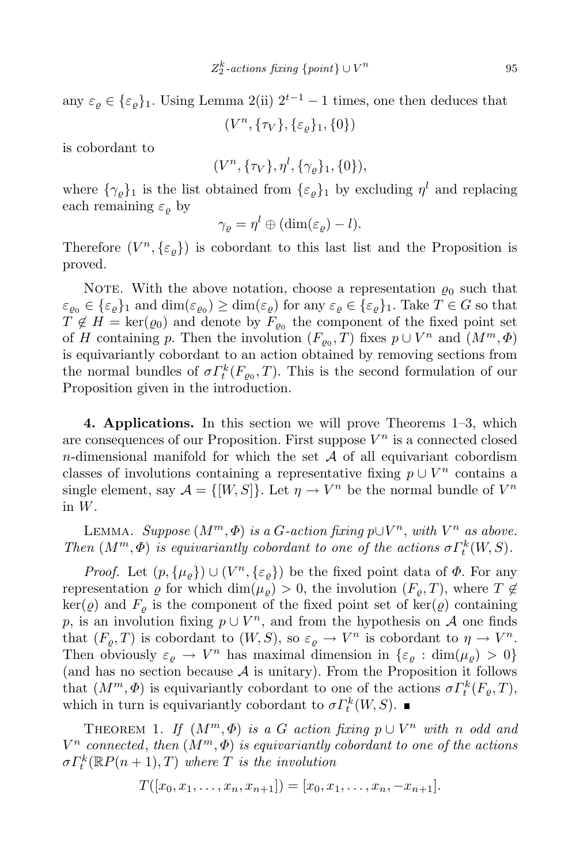any  $\varepsilon_{\varrho} \in {\varepsilon_{\varrho}}_1$ . Using Lemma 2(ii)  $2^{t-1} - 1$  times, one then deduces that (*V n , {τ<sup>V</sup> }, {ε%}*1*, {*0*}*)

is cobordant to

$$
(V^n, \{\tau_V\}, \eta^l, \{\gamma_\varrho\}_1, \{0\}),
$$

where  $\{\gamma_{\varrho}\}_1$  is the list obtained from  $\{\varepsilon_{\varrho}\}_1$  by excluding  $\eta^l$  and replacing each remaining  $\varepsilon_{\rho}$  by

$$
\gamma_{\varrho} = \eta^{l} \oplus (\dim(\varepsilon_{\varrho}) - l).
$$

Therefore  $(V^n, \{\varepsilon_\varrho\})$  is cobordant to this last list and the Proposition is proved.

NOTE. With the above notation, choose a representation  $\varrho_0$  such that  $\varepsilon_{\varrho_0} \in \{\varepsilon_{\varrho}\}_1$  and  $\dim(\varepsilon_{\varrho_0}) \geq \dim(\varepsilon_{\varrho})$  for any  $\varepsilon_{\varrho} \in \{\varepsilon_{\varrho}\}_1$ . Take  $T \in G$  so that  $T \notin H = \text{ker}(\varrho_0)$  and denote by  $F_{\varrho_0}$  the component of the fixed point set of *H* containing *p*. Then the involution  $(F_{\varrho_0}, T)$  fixes  $p \cup V^n$  and  $(M^m, \Phi)$ is equivariantly cobordant to an action obtained by removing sections from the normal bundles of  $\sigma \Gamma_t^k(F_{\varrho_0},T)$ . This is the second formulation of our Proposition given in the introduction.

**4. Applications.** In this section we will prove Theorems 1–3, which are consequences of our Proposition. First suppose *V <sup>n</sup>* is a connected closed *n*-dimensional manifold for which the set *A* of all equivariant cobordism classes of involutions containing a representative fixing  $p \cup V^n$  contains a single element, say  $\mathcal{A} = \{ [W, S] \}$ . Let  $\eta \to V^n$  be the normal bundle of  $V^n$ in *W*.

LEMMA. *Suppose*  $(M^m, \Phi)$  *is* a *G*-action fixing  $p \cup V^n$ , with  $V^n$  as above. *Then*  $(M^m, \Phi)$  *is equivariantly cobordant to one of the actions*  $\sigma \Gamma_t^k(W, S)$ *.* 

*Proof.* Let  $(p, \{\mu_{\varrho}\}) \cup (V^n, {\{\varepsilon_{\varrho}\}})$  be the fixed point data of  $\Phi$ . For any representation  $\varrho$  for which dim( $\mu_{\varrho}$ ) > 0, the involution ( $F_{\varrho}$ , *T*), where  $T \notin$  $\ker(\varrho)$  and  $F_{\varrho}$  is the component of the fixed point set of  $\ker(\varrho)$  containing *p*, is an involution fixing  $p \cup V^n$ , and from the hypothesis on *A* one finds that  $(F_{\varrho}, T)$  is cobordant to  $(W, S)$ , so  $\varepsilon_{\varrho} \to V^{n}$  is cobordant to  $\eta \to V^{n}$ . Then obviously  $\varepsilon_{\varrho} \to V^n$  has maximal dimension in  $\{\varepsilon_{\varrho} : \dim(\mu_{\varrho}) > 0\}$ (and has no section because  $A$  is unitary). From the Proposition it follows that  $(M^m, \Phi)$  is equivariantly cobordant to one of the actions  $\sigma \Gamma_t^k(F_{\varrho}, T)$ , which in turn is equivariantly cobordant to  $\sigma \Gamma_t^k(W, S)$ .

THEOREM 1. *If*  $(M^m, \Phi)$  *is a G action fixing*  $p \cup V^n$  *with n odd and V <sup>n</sup> connected*, *then* (*Mm,Φ*) *is equivariantly cobordant to one of the actions*  $\sigma \Gamma_t^k(\mathbb{R}P(n+1),T)$  *where T is the involution* 

$$
T([x_0,x_1,\ldots,x_n,x_{n+1}])=[x_0,x_1,\ldots,x_n,-x_{n+1}].
$$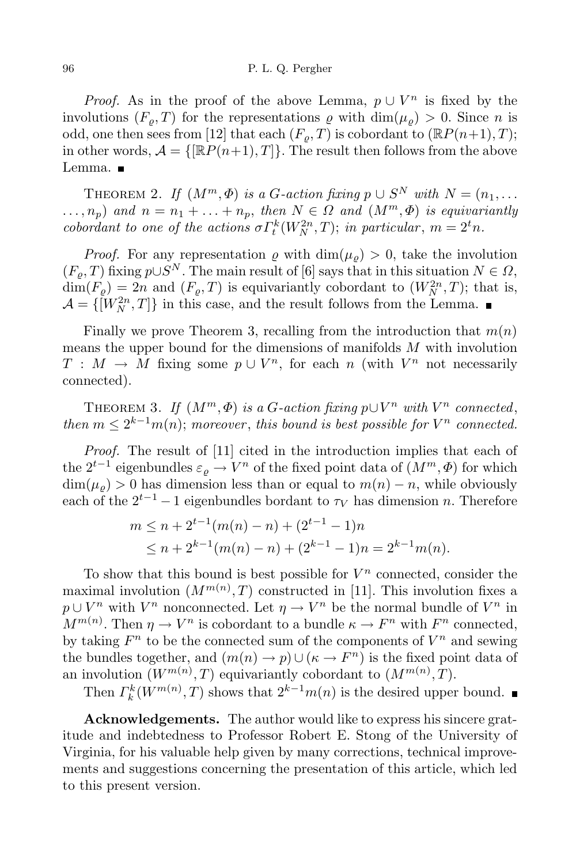*Proof.* As in the proof of the above Lemma,  $p \cup V^n$  is fixed by the involutions  $(F_{\rho}, T)$  for the representations  $\rho$  with  $\dim(\mu_{\rho}) > 0$ . Since *n* is odd, one then sees from [12] that each  $(F_{\rho}, T)$  is cobordant to  $(\mathbb{R}P(n+1), T)$ ; in other words,  $\mathcal{A} = \{\mathbb{R}P(n+1), T\}$ . The result then follows from the above Lemma. ■

THEOREM 2. *If*  $(M^m, \Phi)$  *is a G*-*action fixing*  $p \cup S^N$  *with*  $N = (n_1, \ldots, n_k)$  $\dots, n_p$ ) and  $n = n_1 + \dots + n_p$ , then  $N \in \Omega$  and  $(M^m, \Phi)$  is equivariantly *cobordant to one of the actions*  $\sigma \Gamma_t^k(W_N^{2n}, T)$ ; *in particular*,  $m = 2^t n$ *.* 

*Proof.* For any representation  $\rho$  with dim $(\mu_o) > 0$ , take the involution  $(F_{\varrho}, T)$  fixing  $p \cup S^N$ . The main result of [6] says that in this situation  $N \in \Omega$ ,  $\dim(F_{\rho}) = 2n$  and  $(F_{\rho}, T)$  is equivariantly cobordant to  $(W_N^{2n}, T)$ ; that is,  $\mathcal{A} = \{ [W_N^{2n}, T] \}$  in this case, and the result follows from the Lemma.

Finally we prove Theorem 3, recalling from the introduction that  $m(n)$ means the upper bound for the dimensions of manifolds *M* with involution *T* :  $M \rightarrow M$  fixing some  $p \cup V^n$ , for each *n* (with  $V^n$  not necessarily connected).

THEOREM 3. *If*  $(M^m, \Phi)$  *is a G*-action fixing  $p \cup V^n$  with  $V^n$  connected, *then*  $m \leq 2^{k-1}m(n)$ ; *moreover*, *this bound is best possible for*  $V^n$  *connected.* 

*Proof.* The result of [11] cited in the introduction implies that each of the  $2^{t-1}$  eigenbundles  $\varepsilon_{\varrho} \to V^n$  of the fixed point data of  $(M^m, \Phi)$  for which  $\dim(\mu_{\varrho}) > 0$  has dimension less than or equal to  $m(n) - n$ , while obviously each of the  $2^{t-1} - 1$  eigenbundles bordant to  $\tau_V$  has dimension *n*. Therefore

$$
m \le n + 2^{t-1}(m(n) - n) + (2^{t-1} - 1)n
$$
  
 
$$
\le n + 2^{k-1}(m(n) - n) + (2^{k-1} - 1)n = 2^{k-1}m(n).
$$

To show that this bound is best possible for  $V^n$  connected, consider the maximal involution  $(M^{m(n)}, T)$  constructed in [11]. This involution fixes a  $p \cup V^n$  with  $V^n$  nonconnected. Let  $\eta \to V^n$  be the normal bundle of  $V^n$  in  $M^{m(n)}$ . Then  $\eta \to V^n$  is cobordant to a bundle  $\kappa \to F^n$  with  $F^n$  connected, by taking  $F^n$  to be the connected sum of the components of  $V^n$  and sewing the bundles together, and  $(m(n) \to p) \cup (\kappa \to F^n)$  is the fixed point data of an involution  $(W^{m(n)}, T)$  equivariantly cobordant to  $(M^{m(n)}, T)$ .

Then  $\Gamma_k^k(W^{m(n)}, T)$  shows that  $2^{k-1}m(n)$  is the desired upper bound.

**Acknowledgements.** The author would like to express his sincere gratitude and indebtedness to Professor Robert E. Stong of the University of Virginia, for his valuable help given by many corrections, technical improvements and suggestions concerning the presentation of this article, which led to this present version.